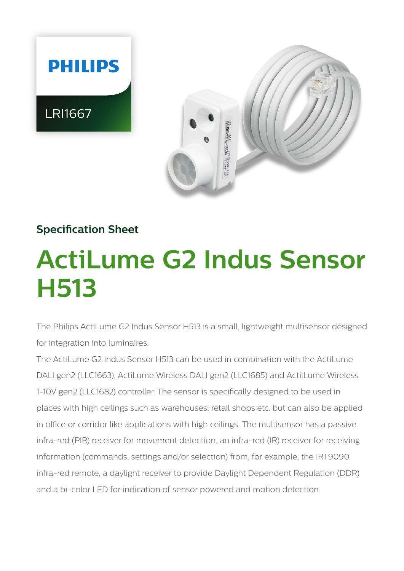

# **Specification Sheet**

# **ActiLume G2 Indus Sensor H513**

The Philips ActiLume G2 Indus Sensor H513 is a small, lightweight multisensor designed for integration into luminaires.

The ActiLume G2 Indus Sensor H513 can be used in combination with the ActiLume DALI gen2 (LLC1663), ActiLume Wireless DALI gen2 (LLC1685) and ActilLume Wireless 1-10V gen2 (LLC1682) controller. The sensor is specifically designed to be used in places with high ceilings such as warehouses; retail shops etc. but can also be applied in office or corridor like applications with high ceilings. The multisensor has a passive infra-red (PIR) receiver for movement detection, an infra-red (IR) receiver for receiving information (commands, settings and/or selection) from, for example, the IRT9090 infra-red remote, a daylight receiver to provide Daylight Dependent Regulation (DDR) and a bi-color LED for indication of sensor powered and motion detection.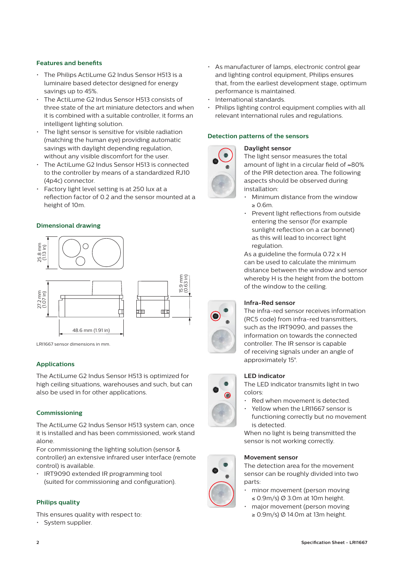## **Features and benefits**

- The Philips ActiLume G2 Indus Sensor H513 is a luminaire based detector designed for energy savings up to 45%.
- The ActiLume G2 Indus Sensor H513 consists of three state of the art miniature detectors and when it is combined with a suitable controller, it forms an intelligent lighting solution.
- The light sensor is sensitive for visible radiation (matching the human eye) providing automatic savings with daylight depending regulation, without any visible discomfort for the user.
- The ActiLume G2 Indus Sensor H513 is connected to the controller by means of a standardized RJ10 (4p4c) connector.
- Factory light level setting is at 250 lux at a reflection factor of 0.2 and the sensor mounted at a height of 10m.

## **Dimensional drawing**



LRI1667 sensor dimensions in mm.

# **Applications**

The ActiLume G2 Indus Sensor H513 is optimized for high ceiling situations, warehouses and such, but can also be used in for other applications.

## **Commissioning**

The ActiLume G2 Indus Sensor H513 system can, once it is installed and has been commissioned, work stand alone.

For commissioning the lighting solution (sensor & controller) an extensive infrared user interface (remote control) is available.

• IRT9090 extended IR programming tool (suited for commissioning and configuration).

## **Philips quality**

This ensures quality with respect to:

• System supplier.

- As manufacturer of lamps, electronic control gear and lighting control equipment, Philips ensures that, from the earliest development stage, optimum performance is maintained.
- International standards.
- Philips lighting control equipment complies with all relevant international rules and regulations.

#### **Detection patterns of the sensors**

#### **Daylight sensor**



The light sensor measures the total amount of light in a circular field of ≈80% of the PIR detection area. The following aspects should be observed during installation:

- Minimum distance from the window ≥ 0.6m.
- Prevent light reflections from outside entering the sensor (for example sunlight reflection on a car bonnet) as this will lead to incorrect light regulation.

As a guideline the formula 0.72 x H can be used to calculate the minimum distance between the window and sensor whereby H is the height from the bottom of the window to the ceiling.

#### **Infra-Red sensor**

 The infra-red sensor receives information (RC5 code) from infra-red transmitters, such as the IRT9090, and passes the information on towards the connected controller. The IR sensor is capable of receiving signals under an angle of approximately 15°.

## **LED indicator**

The LED indicator transmits light in two colors:

- Red when movement is detected.
- Yellow when the LRI1667 sensor is functioning correctly but no movement is detected.

When no light is being transmitted the sensor is not working correctly.

#### **Movement sensor**

The detection area for the movement sensor can be roughly divided into two parts:

- minor movement (person moving ≤ 0.9m/s) Ø 3.0m at 10m height.
- major movement (person moving ≥ 0.9m/s) Ø 14.0m at 13m height.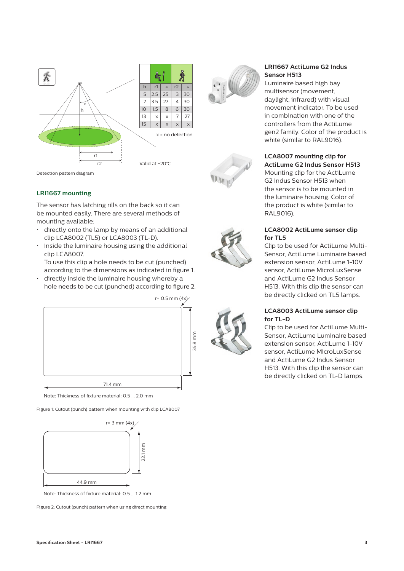

Detection pattern diagram

# **LRI1667 mounting**

The sensor has latching rills on the back so it can be mounted easily. There are several methods of mounting available:

- directly onto the lamp by means of an additional clip LCA8002 (TL5) or LCA8003 (TL-D).
- inside the luminaire housing using the additional clip LCA8007.

To use this clip a hole needs to be cut (punched) according to the dimensions as indicated in figure 1.

• directly inside the luminaire housing whereby a hole needs to be cut (punched) according to figure 2.



Note: Thickness of fixture material: 0.5 ... 2.0 mm

Figure 1: Cutout (punch) pattern when mounting with clip LCA8007



Note: Thickness of fixture material: 0.5 ... 1.2 mm

Figure 2: Cutout (punch) pattern when using direct mounting







# RAL9016). **LCA8002 ActiLume sensor clip**

**LRI1667 ActiLume G2 Indus** 

Luminaire based high bay multisensor (movement, daylight, infrared) with visual movement indicator. To be used in combination with one of the controllers from the ActiLume gen2 family. Color of the product is

white (similar to RAL9016).

**LCA8007 mounting clip for ActiLume G2 Indus Sensor H513** Mounting clip for the ActiLume G2 Indus Sensor H513 when the sensor is to be mounted in the luminaire housing. Color of the product is white (similar to

**Sensor H513** 

**for TL5** Clip to be used for ActiLume Multi-Sensor, ActiLume Luminaire based extension sensor, ActiLume 1-10V sensor, ActiLume MicroLuxSense and ActiLume G2 Indus Sensor H513. With this clip the sensor can be directly clicked on TL5 lamps.

## **LCA8003 ActiLume sensor clip for TL-D**

Clip to be used for ActiLume Multi-Sensor, ActiLume Luminaire based extension sensor, ActiLume 1-10V sensor, ActiLume MicroLuxSense and ActiLume G2 Indus Sensor H513. With this clip the sensor can be directly clicked on TL-D lamps.



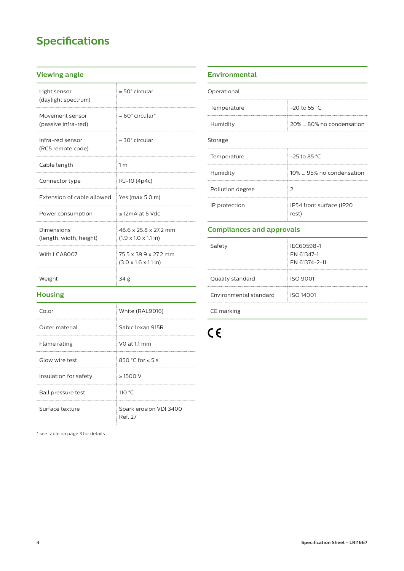# **Specifications**

# **Viewing angle**

| Light sensor<br>(daylight spectrum)    | $\approx$ 50 $^{\circ}$ circular                           |
|----------------------------------------|------------------------------------------------------------|
| Movement sensor<br>(passive infra-red) | $\approx 60^\circ$ circular <sup>*</sup>                   |
| Infra-red sensor<br>(RC5 remote code)  | $\approx$ 30 $^{\circ}$ circular                           |
| Cable length                           | 1 <sub>m</sub>                                             |
| Connector type                         | RJ-10 (4p4c)                                               |
| Extension of cable allowed             | Yes (max 5.0 m)                                            |
| Power consumption                      | $\leq$ 12mA at 5 Vdc                                       |
| Dimensions<br>(length, width, height)  | 48 6 x 25 8 x 27 2 mm<br>$(1.9 \times 1.0 \times 1.1)$ in) |
| With LCA8007                           | 75.5 x 39.9 x 27.2 mm<br>$(3.0 \times 1.6 \times 1.1)$ in) |
| Weight                                 | 34 g                                                       |

# **Housing**

| Color                 | White (RAL9016)                   |
|-----------------------|-----------------------------------|
| Outer material        | Sabic Jexan 915R                  |
| Flame rating          | VO at 1.1 mm                      |
| Glow wire test        | 850 °C for $\leq 5$ s             |
| Insulation for safety | $\geq$ 1500 V                     |
| Ball pressure test    | 110 $\degree$ C                   |
| Surface texture       | Spark erosion VDI 3400<br>Ref. 27 |

#### \* see table on page 3 for details

# **Environmental**

| Operational      |                                   |
|------------------|-----------------------------------|
| Temperature      | $-20$ to 55 °C                    |
| Humidity         | 20%  80% no condensation          |
| Storage          |                                   |
| Temperature      | $-25$ to 85 °C                    |
| Humidity         | 10%  95% no condensation          |
| Pollution degree | $\mathcal{P}$                     |
| IP protection    | IP54 front surface (IP20<br>rest) |

# **Compliances and approvals**

| Safety                 | <b>IFC60598-1</b><br>EN 61347-1<br>EN 61374-2-11 |
|------------------------|--------------------------------------------------|
| Quality standard       | <b>ISO 9001</b>                                  |
| Environmental standard | <b>ISO 14001</b>                                 |

CE marking

 $C \in$